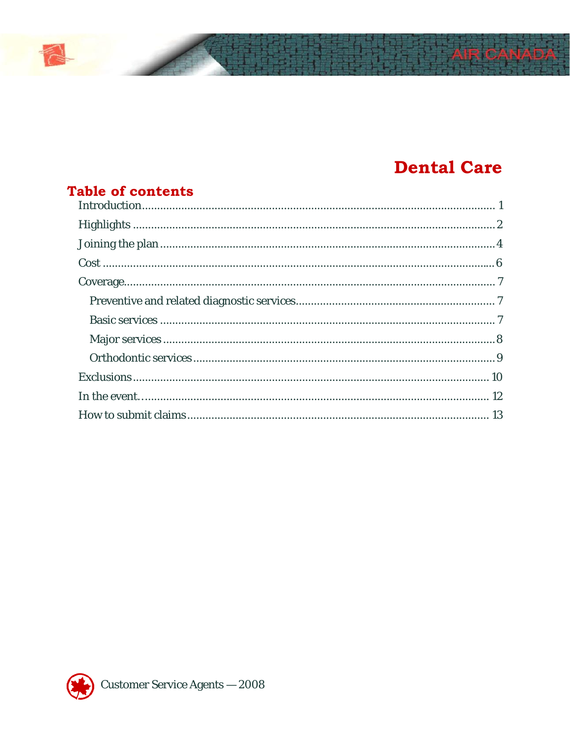# **Dental Care**

| <b>Table of contents</b> |  |
|--------------------------|--|
|                          |  |
|                          |  |
|                          |  |
|                          |  |
|                          |  |
|                          |  |
|                          |  |
|                          |  |
|                          |  |
|                          |  |
|                          |  |
|                          |  |

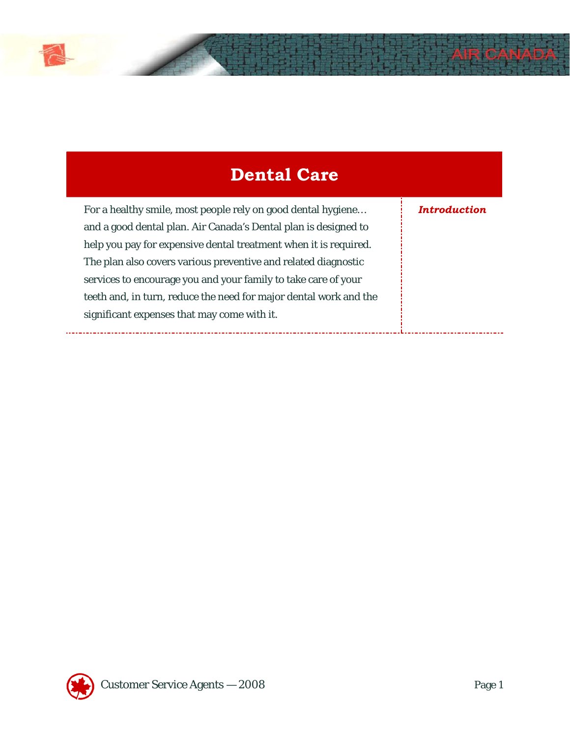

....

| <b>Dental Care</b>                                                                                                                                                                                                                                                                                                                                                                                                                                          |                     |
|-------------------------------------------------------------------------------------------------------------------------------------------------------------------------------------------------------------------------------------------------------------------------------------------------------------------------------------------------------------------------------------------------------------------------------------------------------------|---------------------|
| For a healthy smile, most people rely on good dental hygiene<br>and a good dental plan. Air Canada's Dental plan is designed to<br>help you pay for expensive dental treatment when it is required.<br>The plan also covers various preventive and related diagnostic<br>services to encourage you and your family to take care of your<br>teeth and, in turn, reduce the need for major dental work and the<br>significant expenses that may come with it. | <i>Introduction</i> |

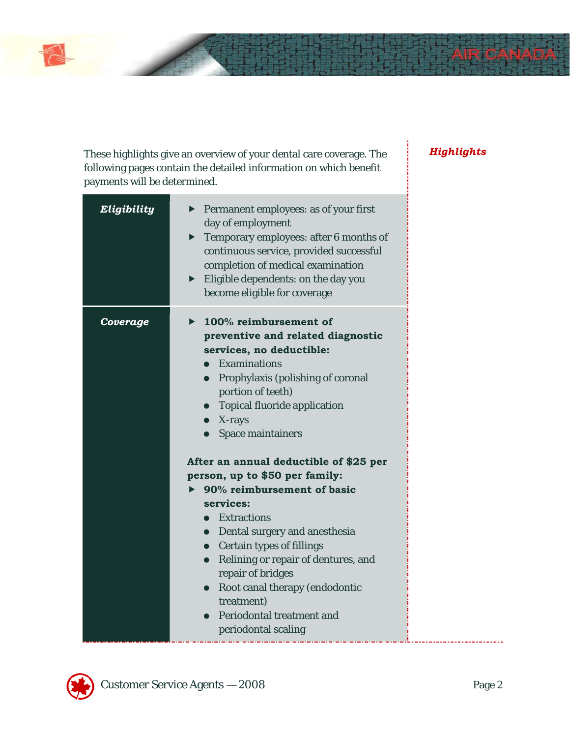# *Highlights*

| Eligibility | Permanent employees: as of your first<br>day of employment<br>$\blacktriangleright$ Temporary employees: after 6 months of<br>continuous service, provided successful<br>completion of medical examination<br>$\blacktriangleright$ Eligible dependents: on the day you<br>become eligible for coverage                                                                                                                                                                                                                                                                                                                                                                                                                   |
|-------------|---------------------------------------------------------------------------------------------------------------------------------------------------------------------------------------------------------------------------------------------------------------------------------------------------------------------------------------------------------------------------------------------------------------------------------------------------------------------------------------------------------------------------------------------------------------------------------------------------------------------------------------------------------------------------------------------------------------------------|
| Coverage    | 100% reimbursement of<br>preventive and related diagnostic<br>services, no deductible:<br>$\bullet$ Examinations<br>• Prophylaxis (polishing of coronal<br>portion of teeth)<br>• Topical fluoride application<br>$\bullet$ X-rays<br><b>Space maintainers</b><br>After an annual deductible of \$25 per<br>person, up to \$50 per family:<br>90% reimbursement of basic<br>services:<br>• Extractions<br>• Dental surgery and anesthesia<br><b>Certain types of fillings</b><br>$\bullet$<br>Relining or repair of dentures, and<br>$\bullet$<br>repair of bridges<br>Root canal therapy (endodontic<br>$\bullet$<br>treatment)<br><b>Periodontal treatment and</b><br>periodontal scaling<br>.<br>_____________________ |

These highlights give an overview of your dental care coverage. The following pages contain the detailed information on which benefit

payments will be determined.

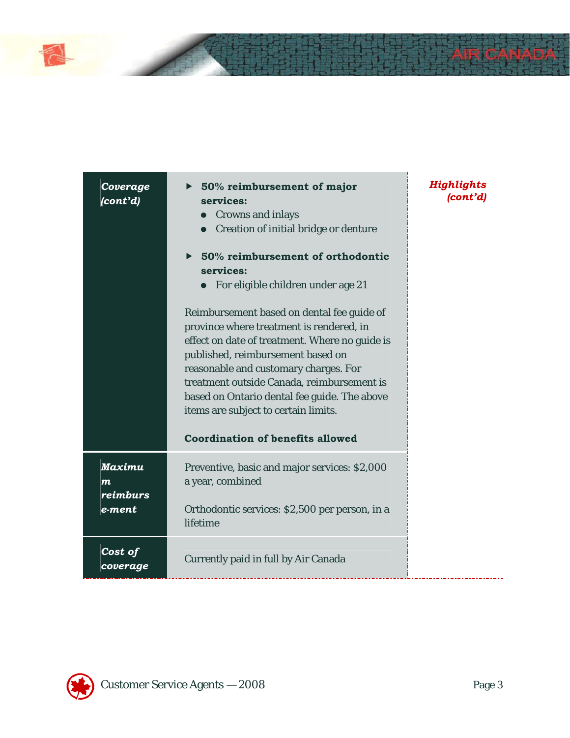

| Coverage<br>(cont'd)                                    | $\triangleright$ 50% reimbursement of major<br>services:<br><b>Crowns and inlays</b><br>$\bullet$<br>Creation of initial bridge or denture<br>50% reimbursement of orthodontic<br>$\blacktriangleright$<br>services:<br>• For eligible children under age 21<br>Reimbursement based on dental fee guide of<br>province where treatment is rendered, in<br>effect on date of treatment. Where no guide is<br>published, reimbursement based on<br>reasonable and customary charges. For<br>treatment outside Canada, reimbursement is<br>based on Ontario dental fee guide. The above<br>items are subject to certain limits.<br><b>Coordination of benefits allowed</b> | Highlights<br>(cont'd) |
|---------------------------------------------------------|-------------------------------------------------------------------------------------------------------------------------------------------------------------------------------------------------------------------------------------------------------------------------------------------------------------------------------------------------------------------------------------------------------------------------------------------------------------------------------------------------------------------------------------------------------------------------------------------------------------------------------------------------------------------------|------------------------|
| <b>Maximu</b><br>$\boldsymbol{m}$<br>reimburs<br>e-ment | Preventive, basic and major services: \$2,000<br>a year, combined<br>Orthodontic services: \$2,500 per person, in a<br>lifetime                                                                                                                                                                                                                                                                                                                                                                                                                                                                                                                                         |                        |
| Cost of<br>coverage                                     | <b>Currently paid in full by Air Canada</b>                                                                                                                                                                                                                                                                                                                                                                                                                                                                                                                                                                                                                             |                        |

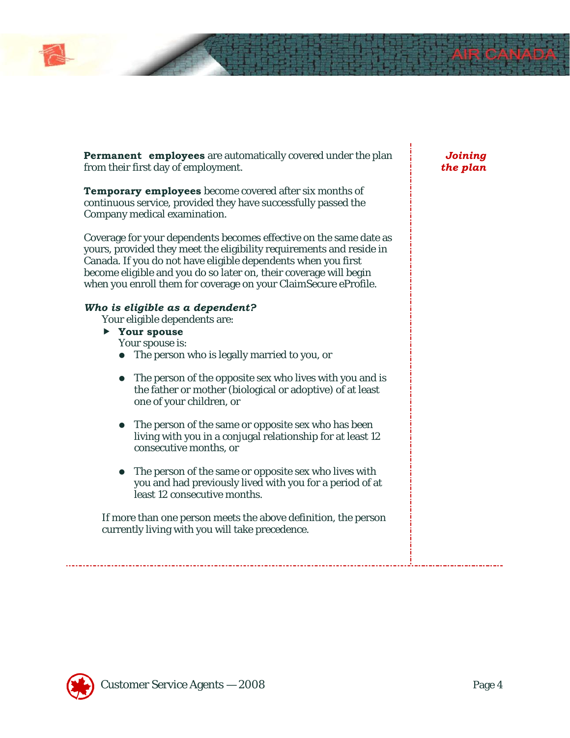

**Permanent employees** are automatically covered under the plan from their first day of employment.

**Temporary employees** become covered after six months of continuous service, provided they have successfully passed the Company medical examination.

Coverage for your dependents becomes effective on the same date as yours, provided they meet the eligibility requirements and reside in Canada. If you do not have eligible dependents when you first become eligible and you do so later on, their coverage will begin when you enroll them for coverage on your ClaimSecure eProfile.

### *Who is eligible as a dependent?*

- Your eligible dependents are:
- f **Your spouse**

Your spouse is:

- The person who is legally married to you, or
- The person of the opposite sex who lives with you and is the father or mother (biological or adoptive) of at least one of your children, or
- The person of the same or opposite sex who has been living with you in a conjugal relationship for at least 12 consecutive months, or
- The person of the same or opposite sex who lives with you and had previously lived with you for a period of at least 12 consecutive months.

If more than one person meets the above definition, the person currently living with you will take precedence.

# *Joining the plan*

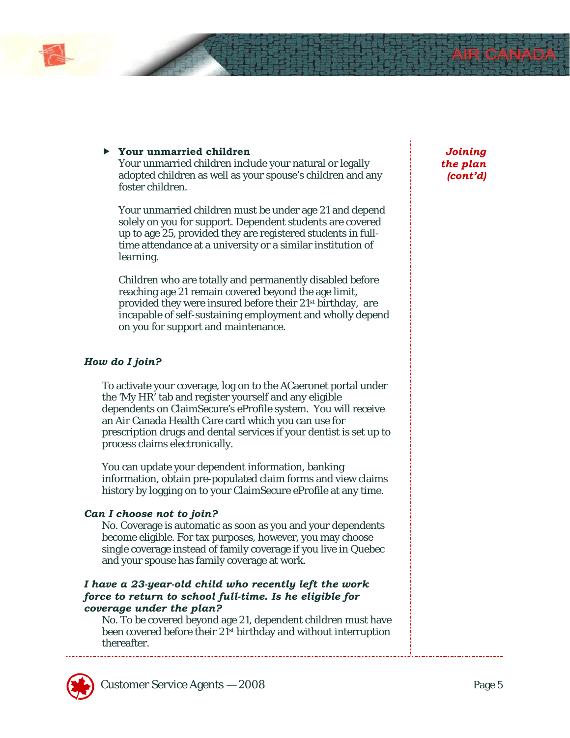

# f **Your unmarried children**

Your unmarried children include your natural or legally adopted children as well as your spouse's children and any foster children.

Your unmarried children must be under age 21 and depend solely on you for support. Dependent students are covered up to age 25, provided they are registered students in fulltime attendance at a university or a similar institution of learning.

Children who are totally and permanently disabled before reaching age 21 remain covered beyond the age limit, provided they were insured before their 21st birthday, are incapable of self-sustaining employment and wholly depend on you for support and maintenance.

### *How do I join?*

To activate your coverage, log on to the ACaeronet portal under the 'My HR' tab and register yourself and any eligible dependents on ClaimSecure's eProfile system. You will receive an Air Canada Health Care card which you can use for prescription drugs and dental services if your dentist is set up to process claims electronically.

You can update your dependent information, banking information, obtain pre-populated claim forms and view claims history by logging on to your ClaimSecure eProfile at any time.

#### *Can I choose not to join?*

No. Coverage is automatic as soon as you and your dependents become eligible. For tax purposes, however, you may choose single coverage instead of family coverage if you live in Quebec and your spouse has family coverage at work.

# *I have a 23-year-old child who recently left the work force to return to school full-time. Is he eligible for coverage under the plan?*

No. To be covered beyond age 21, dependent children must have been covered before their 21st birthday and without interruption thereafter.



*Joining the plan (cont'd)*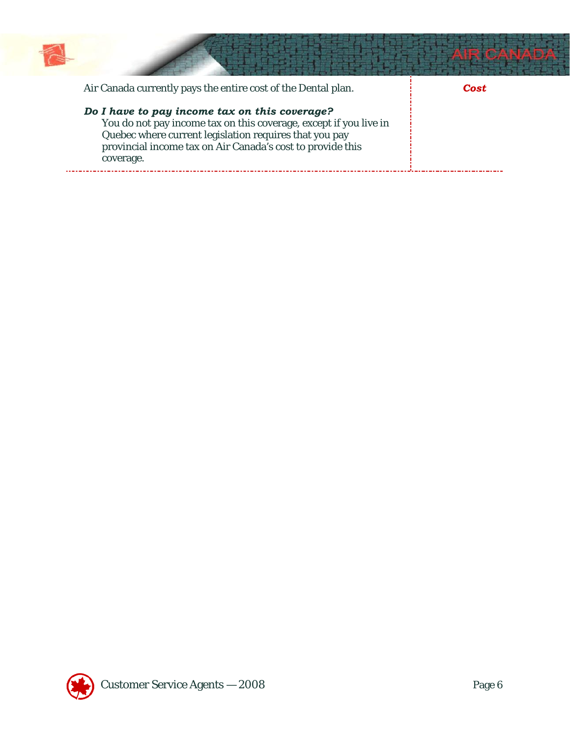

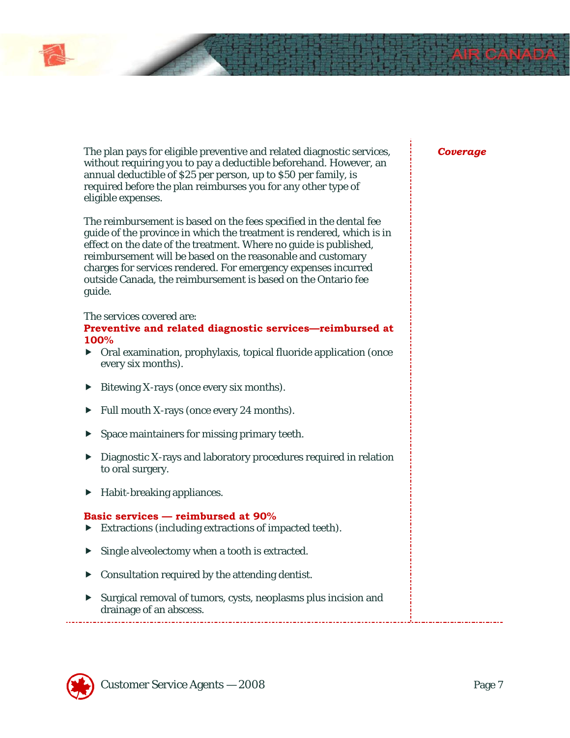# *Coverage*

The plan pays for eligible preventive and related diagnostic services, without requiring you to pay a deductible beforehand. However, an annual deductible of \$25 per person, up to \$50 per family, is required before the plan reimburses you for any other type of eligible expenses.

The reimbursement is based on the fees specified in the dental fee guide of the province in which the treatment is rendered, which is in effect on the date of the treatment. Where no guide is published, reimbursement will be based on the reasonable and customary charges for services rendered. For emergency expenses incurred outside Canada, the reimbursement is based on the Ontario fee guide.

#### The services covered are:

#### **Preventive and related diagnostic services—reimbursed at 100%**

- $\triangleright$  Oral examination, prophylaxis, topical fluoride application (once every six months).
- $\blacktriangleright$  Bitewing X-rays (once every six months).
- $\blacktriangleright$  Full mouth X-rays (once every 24 months).
- $\blacktriangleright$  Space maintainers for missing primary teeth.
- $\blacktriangleright$  Diagnostic X-rays and laboratory procedures required in relation to oral surgery.
- $\blacktriangleright$  Habit-breaking appliances.

#### **Basic services — reimbursed at 90%**

- $\blacktriangleright$  Extractions (including extractions of impacted teeth).
- $\blacktriangleright$  Single alveolectomy when a tooth is extracted.
- $\triangleright$  Consultation required by the attending dentist.
- **F** Surgical removal of tumors, cysts, neoplasms plus incision and drainage of an abscess.

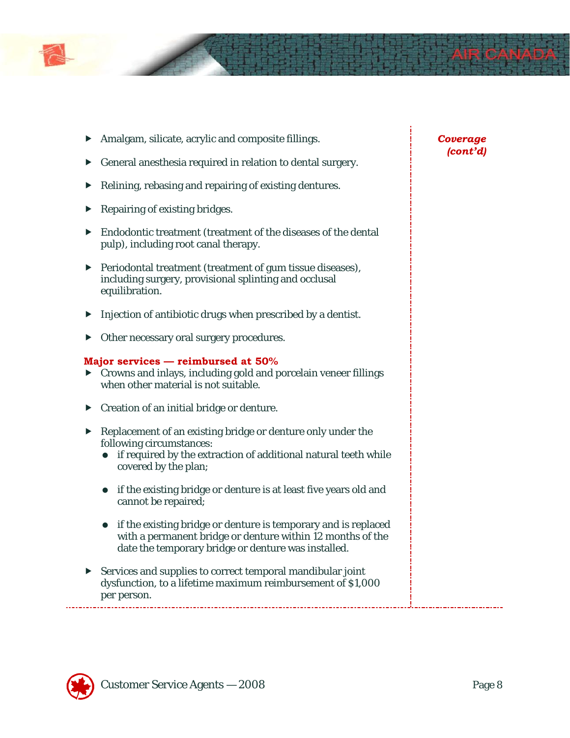

- $\blacktriangleright$  Amalgam, silicate, acrylic and composite fillings.
- $\blacktriangleright$  General anesthesia required in relation to dental surgery.
- $\blacktriangleright$  Relining, rebasing and repairing of existing dentures.
- $\blacktriangleright$  Repairing of existing bridges.
- $\blacktriangleright$  Endodontic treatment (treatment of the diseases of the dental pulp), including root canal therapy.
- $\blacktriangleright$  Periodontal treatment (treatment of gum tissue diseases), including surgery, provisional splinting and occlusal equilibration.
- $\blacktriangleright$  Injection of antibiotic drugs when prescribed by a dentist.
- $\triangleright$  Other necessary oral surgery procedures.

#### **Major services — reimbursed at 50%**

- $\triangleright$  Crowns and inlays, including gold and porcelain veneer fillings when other material is not suitable.
- $\triangleright$  Creation of an initial bridge or denture.
- $\blacktriangleright$  Replacement of an existing bridge or denture only under the following circumstances:
	- if required by the extraction of additional natural teeth while covered by the plan;
	- if the existing bridge or denture is at least five years old and cannot be repaired;
	- if the existing bridge or denture is temporary and is replaced with a permanent bridge or denture within 12 months of the date the temporary bridge or denture was installed.
- $\blacktriangleright$  Services and supplies to correct temporal mandibular joint dysfunction, to a lifetime maximum reimbursement of \$1,000 per person.

# *Coverage (cont'd)*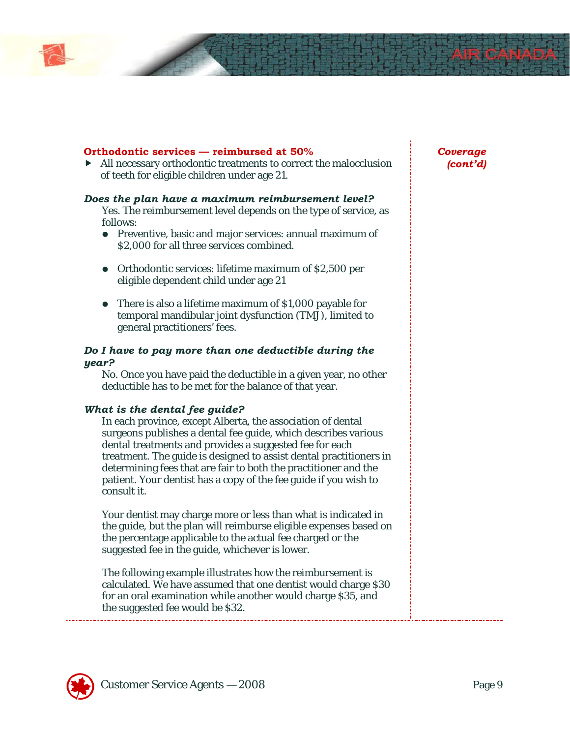

#### **Orthodontic services — reimbursed at 50%**

 $\blacktriangleright$  All necessary orthodontic treatments to correct the malocclusion of teeth for eligible children under age 21.

#### *Does the plan have a maximum reimbursement level?*

Yes. The reimbursement level depends on the type of service, as follows:

- Preventive, basic and major services: annual maximum of \$2,000 for all three services combined.
- Orthodontic services: lifetime maximum of \$2,500 per eligible dependent child under age 21
- There is also a lifetime maximum of \$1,000 payable for temporal mandibular joint dysfunction (TMJ), limited to general practitioners' fees.

#### *Do I have to pay more than one deductible during the year?*

No. Once you have paid the deductible in a given year, no other deductible has to be met for the balance of that year.

#### *What is the dental fee guide?*

In each province, except Alberta, the association of dental surgeons publishes a dental fee guide, which describes various dental treatments and provides a suggested fee for each treatment. The guide is designed to assist dental practitioners in determining fees that are fair to both the practitioner and the patient. Your dentist has a copy of the fee guide if you wish to consult it.

Your dentist may charge more or less than what is indicated in the guide, but the plan will reimburse eligible expenses based on the percentage applicable to the actual fee charged or the suggested fee in the guide, whichever is lower.

The following example illustrates how the reimbursement is calculated. We have assumed that one dentist would charge \$30 for an oral examination while another would charge \$35, and the suggested fee would be \$32.

# *Coverage (cont'd)*

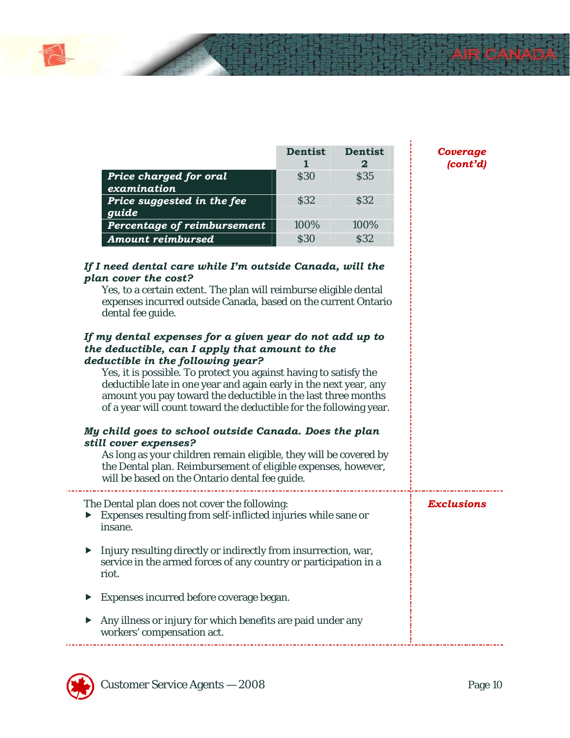|                                       | <b>Dentist</b> | <b>Dentist</b> |
|---------------------------------------|----------------|----------------|
| Price charged for oral<br>examination | <b>S30</b>     | <b>S35</b>     |
| Price suggested in the fee<br>guide   | <b>S32</b>     | <b>S32</b>     |
| Percentage of reimbursement           | 100%           | 100%           |
| <b>Amount reimbursed</b>              | S30            | \$32           |

*Coverage (cont'd)*

ł

| If I need dental care while I'm outside Canada, will the<br>plan cover the cost?<br>Yes, to a certain extent. The plan will reimburse eligible dental<br>expenses incurred outside Canada, based on the current Ontario<br>dental fee guide.                                                                                                                                                                                    |                   |
|---------------------------------------------------------------------------------------------------------------------------------------------------------------------------------------------------------------------------------------------------------------------------------------------------------------------------------------------------------------------------------------------------------------------------------|-------------------|
| If my dental expenses for a given year do not add up to<br>the deductible, can I apply that amount to the<br>deductible in the following year?<br>Yes, it is possible. To protect you against having to satisfy the<br>deductible late in one year and again early in the next year, any<br>amount you pay toward the deductible in the last three months<br>of a year will count toward the deductible for the following year. |                   |
| My child goes to school outside Canada. Does the plan<br>still cover expenses?<br>As long as your children remain eligible, they will be covered by<br>the Dental plan. Reimbursement of eligible expenses, however,<br>will be based on the Ontario dental fee guide.                                                                                                                                                          |                   |
| The Dental plan does not cover the following:<br>Expenses resulting from self-inflicted injuries while sane or<br>▶<br>insane.                                                                                                                                                                                                                                                                                                  | <b>Exclusions</b> |
| Injury resulting directly or indirectly from insurrection, war,<br>▶<br>service in the armed forces of any country or participation in a<br>riot.                                                                                                                                                                                                                                                                               |                   |
| Expenses incurred before coverage began.                                                                                                                                                                                                                                                                                                                                                                                        |                   |
| Any illness or injury for which benefits are paid under any<br>workers' compensation act.                                                                                                                                                                                                                                                                                                                                       |                   |

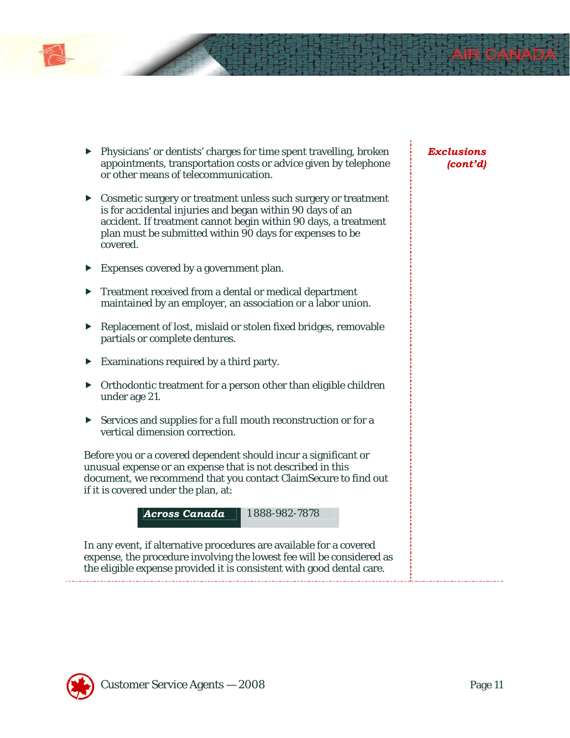

- Cosmetic surgery or treatment unless such surgery or treatment is for accidental injuries and began within 90 days of an accident. If treatment cannot begin within 90 days, a treatment plan must be submitted within 90 days for expenses to be covered.
- $\blacktriangleright$  Expenses covered by a government plan.
- $\blacktriangleright$  Treatment received from a dental or medical department maintained by an employer, an association or a labor union.
- $\blacktriangleright$  Replacement of lost, mislaid or stolen fixed bridges, removable partials or complete dentures.
- $\blacktriangleright$  Examinations required by a third party.
- $\triangleright$  Orthodontic treatment for a person other than eligible children under age 21.
- $\triangleright$  Services and supplies for a full mouth reconstruction or for a vertical dimension correction.

Before you or a covered dependent should incur a significant or unusual expense or an expense that is not described in this document, we recommend that you contact ClaimSecure to find out if it is covered under the plan, at:



In any event, if alternative procedures are available for a covered expense, the procedure involving the lowest fee will be considered as the eligible expense provided it is consistent with good dental care.

# *Exclusions (cont'd)*

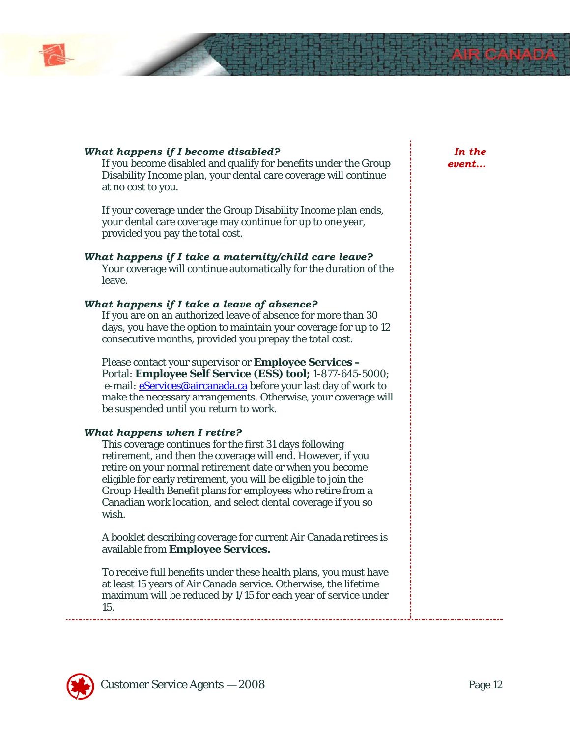

### *What happens if I become disabled?*

If you become disabled and qualify for benefits under the Group Disability Income plan, your dental care coverage will continue at no cost to you.

If your coverage under the Group Disability Income plan ends, your dental care coverage may continue for up to one year, provided you pay the total cost.

#### *What happens if I take a maternity/child care leave?* Your coverage will continue automatically for the duration of the leave.

#### *What happens if I take a leave of absence?*

If you are on an authorized leave of absence for more than 30 days, you have the option to maintain your coverage for up to 12 consecutive months, provided you prepay the total cost.

Please contact your supervisor or **Employee Services –**  Portal: **Employee Self Service (ESS) tool;** 1-877-645-5000; e-mail: **eServices@aircanada.ca** before your last day of work to make the necessary arrangements. Otherwise, your coverage will be suspended until you return to work.

#### *What happens when I retire?*

This coverage continues for the first 31 days following retirement, and then the coverage will end. However, if you retire on your normal retirement date or when you become eligible for early retirement, you will be eligible to join the Group Health Benefit plans for employees who retire from a Canadian work location, and select dental coverage if you so wish.

A booklet describing coverage for current Air Canada retirees is available from **Employee Services.** 

To receive full benefits under these health plans, you must have at least 15 years of Air Canada service. Otherwise, the lifetime maximum will be reduced by 1/15 for each year of service under 15.

*In the event…*

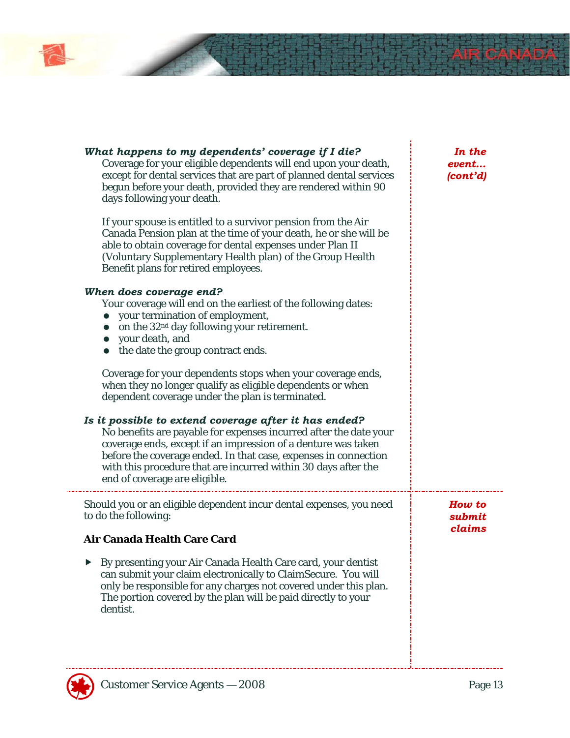

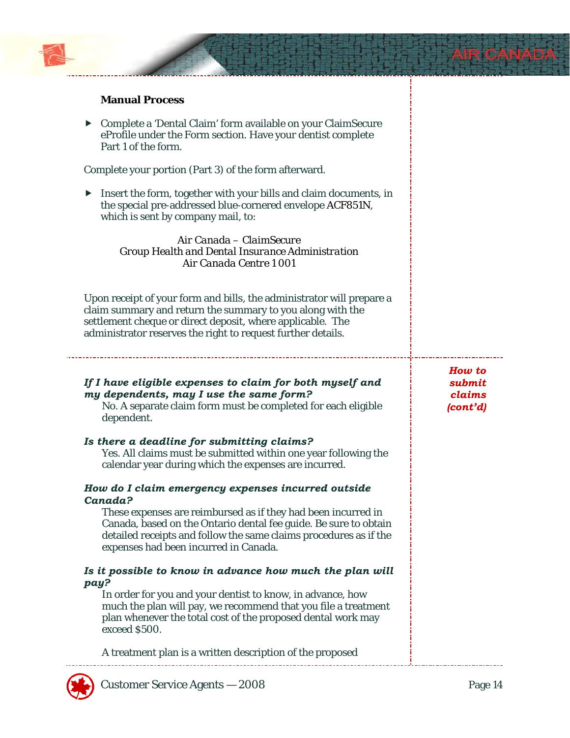

# **Manual Process**

 $\triangleright$  Complete a 'Dental Claim' form available on your ClaimSecure eProfile under the Form section. Have your dentist complete Part 1 of the form.

Complete your portion (Part 3) of the form afterward.

 $\blacktriangleright$  Insert the form, together with your bills and claim documents, in the special pre-addressed blue-cornered envelope ACF851N, which is sent by company mail, to:

> *Air Canada – ClaimSecure Group Health and Dental Insurance Administration Air Canada Centre 1 001*

Upon receipt of your form and bills, the administrator will prepare a claim summary and return the summary to you along with the settlement cheque or direct deposit, where applicable. The administrator reserves the right to request further details.

# *If I have eligible expenses to claim for both myself and my dependents, may I use the same form?*

No. A separate claim form must be completed for each eligible dependent.

#### *Is there a deadline for submitting claims?*

Yes. All claims must be submitted within one year following the calendar year during which the expenses are incurred.

#### *How do I claim emergency expenses incurred outside Canada?*

These expenses are reimbursed as if they had been incurred in Canada, based on the Ontario dental fee guide. Be sure to obtain detailed receipts and follow the same claims procedures as if the expenses had been incurred in Canada.

#### *Is it possible to know in advance how much the plan will pay?*

In order for you and your dentist to know, in advance, how much the plan will pay, we recommend that you file a treatment plan whenever the total cost of the proposed dental work may exceed \$500.

A treatment plan is a written description of the proposed

*How to submit claims (cont'd)*

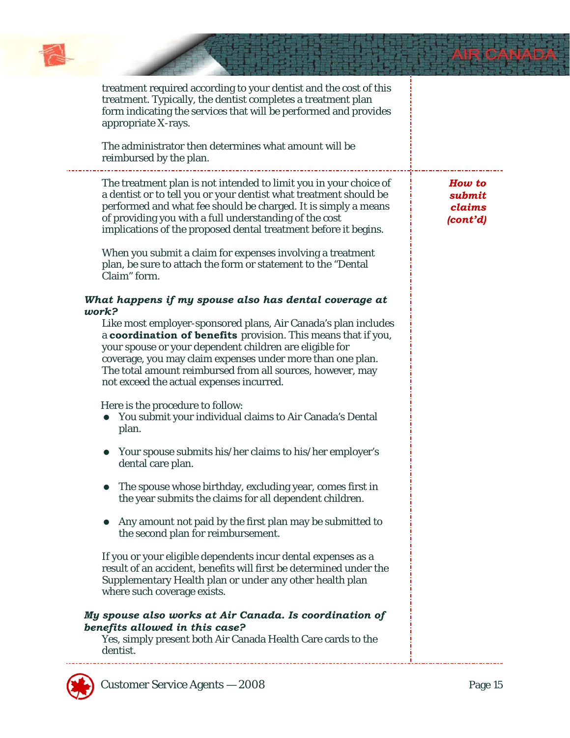

ś,

| treatment required according to your dentist and the cost of this<br>treatment. Typically, the dentist completes a treatment plan<br>form indicating the services that will be performed and provides<br>appropriate X-rays.<br>The administrator then determines what amount will be<br>reimbursed by the plan.                                                                                    |                                        |
|-----------------------------------------------------------------------------------------------------------------------------------------------------------------------------------------------------------------------------------------------------------------------------------------------------------------------------------------------------------------------------------------------------|----------------------------------------|
| The treatment plan is not intended to limit you in your choice of<br>a dentist or to tell you or your dentist what treatment should be<br>performed and what fee should be charged. It is simply a means<br>of providing you with a full understanding of the cost<br>implications of the proposed dental treatment before it begins.<br>When you submit a claim for expenses involving a treatment | How to<br>submit<br>claims<br>(cont'd) |
| plan, be sure to attach the form or statement to the "Dental<br>Claim" form.<br>What happens if my spouse also has dental coverage at                                                                                                                                                                                                                                                               |                                        |
| work?<br>Like most employer-sponsored plans, Air Canada's plan includes<br>a coordination of benefits provision. This means that if you,<br>your spouse or your dependent children are eligible for<br>coverage, you may claim expenses under more than one plan.<br>The total amount reimbursed from all sources, however, may<br>not exceed the actual expenses incurred.                         |                                        |
| Here is the procedure to follow:<br>You submit your individual claims to Air Canada's Dental<br>$\bullet$<br>plan.                                                                                                                                                                                                                                                                                  |                                        |
| Your spouse submits his/her claims to his/her employer's<br>dental care plan.                                                                                                                                                                                                                                                                                                                       |                                        |
| The spouse whose birthday, excluding year, comes first in<br>the year submits the claims for all dependent children.                                                                                                                                                                                                                                                                                |                                        |
| Any amount not paid by the first plan may be submitted to<br>the second plan for reimbursement.                                                                                                                                                                                                                                                                                                     |                                        |
| If you or your eligible dependents incur dental expenses as a<br>result of an accident, benefits will first be determined under the<br>Supplementary Health plan or under any other health plan<br>where such coverage exists.                                                                                                                                                                      |                                        |
| My spouse also works at Air Canada. Is coordination of<br>benefits allowed in this case?<br>Yes, simply present both Air Canada Health Care cards to the<br>dentist.                                                                                                                                                                                                                                |                                        |